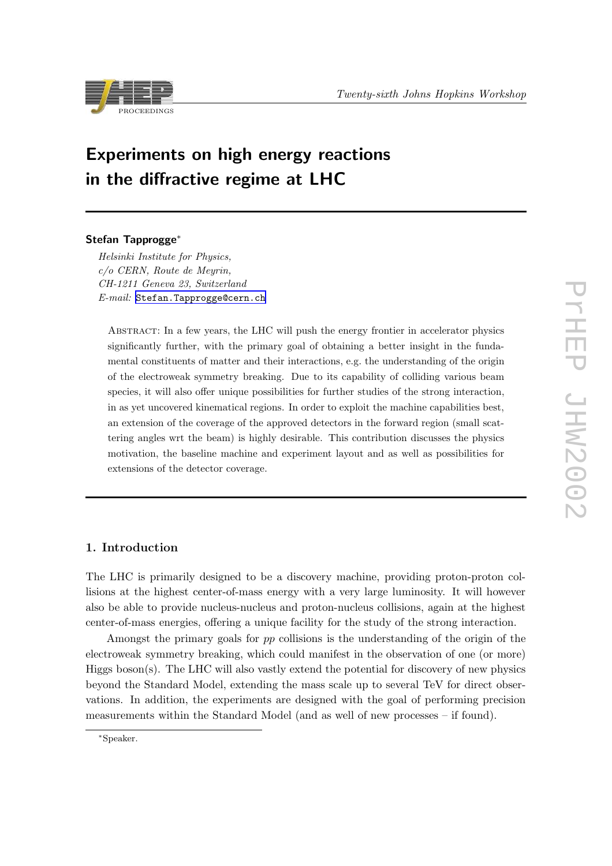

# Experiments on high energy reactions in the diffractive regime at LHC

# Stefan Tapprogge<sup>∗</sup>

Helsinki Institute for Physics, c/o CERN, Route de Meyrin, CH-1211 Geneva 23, Switzerland E-mail: [Stefan.Tapprogge@cern.ch](mailto:Stefan.Tapprogge@cern.ch)

Abstract: In a few years, the LHC will push the energy frontier in accelerator physics significantly further, with the primary goal of obtaining a better insight in the fundamental constituents of matter and their interactions, e.g. the understanding of the origin of the electroweak symmetry breaking. Due to its capability of colliding various beam species, it will also offer unique possibilities for further studies of the strong interaction, in as yet uncovered kinematical regions. In order to exploit the machine capabilities best, an extension of the coverage of the approved detectors in the forward region (small scattering angles wrt the beam) is highly desirable. This contribution discusses the physics motivation, the baseline machine and experiment layout and as well as possibilities for extensions of the detector coverage.

# 1. Introduction

The LHC is primarily designed to be a discovery machine, providing proton-proton collisions at the highest center-of-mass energy with a very large luminosity. It will however also be able to provide nucleus-nucleus and proton-nucleus collisions, again at the highest center-of-mass energies, offering a unique facility for the study of the strong interaction.

Amongst the primary goals for pp collisions is the understanding of the origin of the electroweak symmetry breaking, which could manifest in the observation of one (or more) Higgs boson(s). The LHC will also vastly extend the potential for discovery of new physics beyond the Standard Model, extending the mass scale up to several TeV for direct observations. In addition, the experiments are designed with the goal of performing precision measurements within the Standard Model (and as well of new processes – if found).

<sup>∗</sup>Speaker.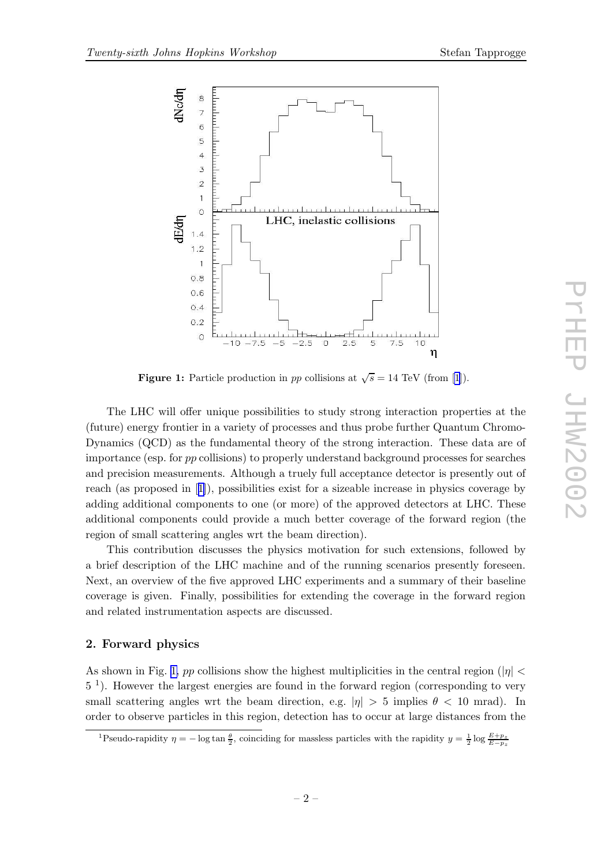



Figure 1: Particle production in pp collisions at  $\sqrt{s} = 14$  TeV (from [\[1](#page-19-0)]).

The LHC will offer unique possibilities to study strong interaction properties at the (future) energy frontier in a variety of processes and thus probe further Quantum Chromo-Dynamics (QCD) as the fundamental theory of the strong interaction. These data are of importance (esp. for pp collisions) to properly understand background processes for searches and precision measurements. Although a truely full acceptance detector is presently out of reach (as proposed in [[1](#page-19-0)]), possibilities exist for a sizeable increase in physics coverage by adding additional components to one (or more) of the approved detectors at LHC. These additional components could provide a much better coverage of the forward region (the region of small scattering angles wrt the beam direction).

This contribution discusses the physics motivation for such extensions, followed by a brief description of the LHC machine and of the running scenarios presently foreseen. Next, an overview of the five approved LHC experiments and a summary of their baseline coverage is given. Finally, possibilities for extending the coverage in the forward region and related instrumentation aspects are discussed.

### 2. Forward physics

As shown in Fig. 1, pp collisions show the highest multiplicities in the central region ( $|\eta|$ ) 5 1 ). However the largest energies are found in the forward region (corresponding to very small scattering angles wrt the beam direction, e.g.  $|\eta| > 5$  implies  $\theta < 10$  mrad). In order to observe particles in this region, detection has to occur at large distances from the

<sup>&</sup>lt;sup>1</sup>Pseudo-rapidity  $\eta = -\log \tan \frac{\theta}{2}$ , coinciding for massless particles with the rapidity  $y = \frac{1}{2} \log \frac{E+p_z}{E-p_z}$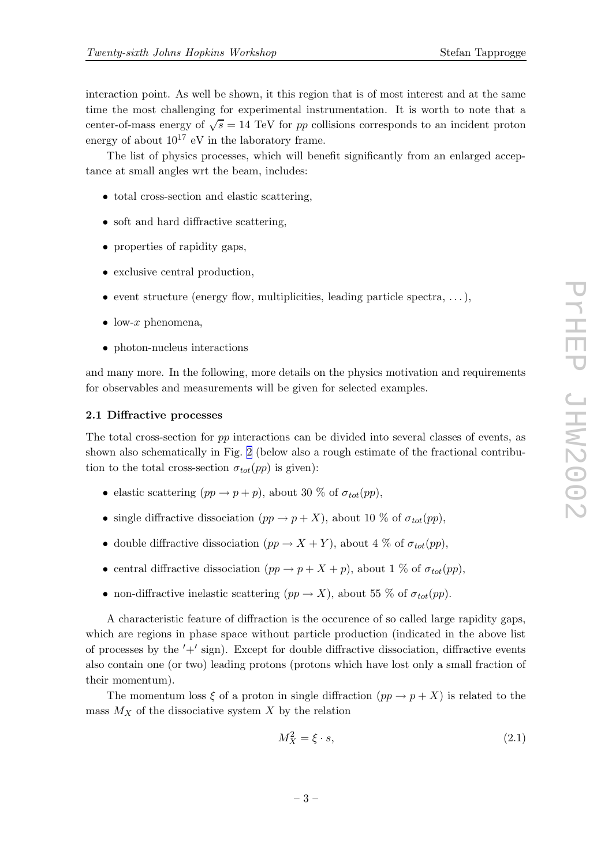interaction point. As well be shown, it this region that is of most interest and at the same time the most challenging for experimental instrumentation. It is worth to note that a center-of-mass energy of  $\sqrt{s} = 14$  TeV for pp collisions corresponds to an incident proton energy of about  $10^{17}$  eV in the laboratory frame.

The list of physics processes, which will benefit significantly from an enlarged acceptance at small angles wrt the beam, includes:

- total cross-section and elastic scattering,
- soft and hard diffractive scattering,
- properties of rapidity gaps,
- exclusive central production,
- event structure (energy flow, multiplicities, leading particle spectra,  $\dots$ ),
- low-x phenomena,
- photon-nucleus interactions

and many more. In the following, more details on the physics motivation and requirements for observables and measurements will be given for selected examples.

#### 2.1 Diffractive processes

The total cross-section for pp interactions can be divided into several classes of events, as shown also schematically in Fig. [2](#page-3-0) (below also a rough estimate of the fractional contribution to the total cross-section  $\sigma_{tot}(pp)$  is given):

- elastic scattering  $(pp \to p + p)$ , about 30 % of  $\sigma_{tot}(pp)$ .
- single diffractive dissociation  $(pp \to p + X)$ , about 10 % of  $\sigma_{tot}(pp)$ ,
- double diffractive dissociation  $(pp \to X + Y)$ , about 4 % of  $\sigma_{tot}(pp)$ ,
- central diffractive dissociation  $(pp \to p + X + p)$ , about 1 % of  $\sigma_{tot}(pp)$ ,
- non-diffractive inelastic scattering  $(pp \to X)$ , about 55 % of  $\sigma_{tot}(pp)$ .

A characteristic feature of diffraction is the occurence of so called large rapidity gaps, which are regions in phase space without particle production (indicated in the above list of processes by the  $'+'$  sign). Except for double diffractive dissociation, diffractive events also contain one (or two) leading protons (protons which have lost only a small fraction of their momentum).

The momentum loss  $\xi$  of a proton in single diffraction  $(pp \to p + X)$  is related to the mass  $M_X$  of the dissociative system  $X$  by the relation

$$
M_X^2 = \xi \cdot s,\tag{2.1}
$$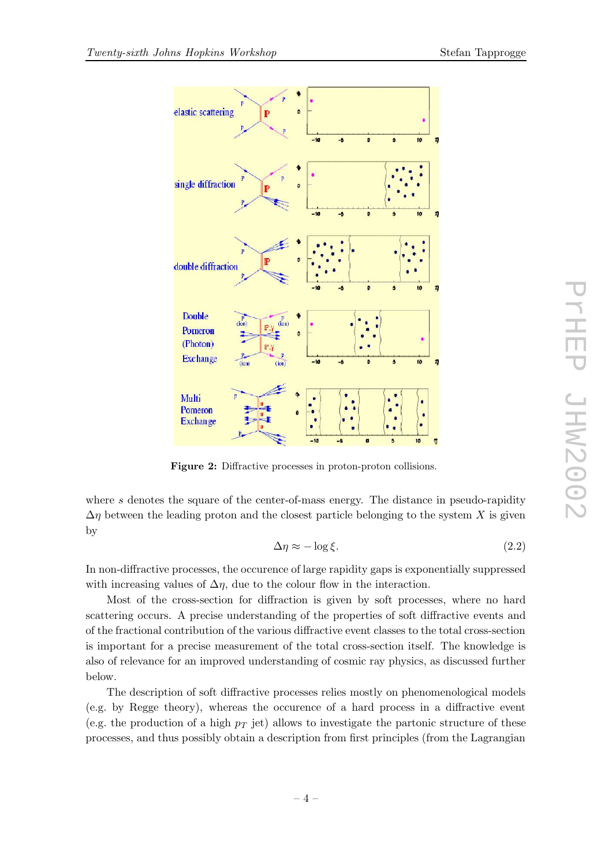

<span id="page-3-0"></span>

Figure 2: Diffractive processes in proton-proton collisions.

where s denotes the square of the center-of-mass energy. The distance in pseudo-rapidity  $\Delta \eta$  between the leading proton and the closest particle belonging to the system X is given by

$$
\Delta \eta \approx -\log \xi. \tag{2.2}
$$

In non-diffractive processes, the occurence of large rapidity gaps is exponentially suppressed with increasing values of  $\Delta \eta$ , due to the colour flow in the interaction.

Most of the cross-section for diffraction is given by soft processes, where no hard scattering occurs. A precise understanding of the properties of soft diffractive events and of the fractional contribution of the various diffractive event classes to the total cross-section is important for a precise measurement of the total cross-section itself. The knowledge is also of relevance for an improved understanding of cosmic ray physics, as discussed further below.

The description of soft diffractive processes relies mostly on phenomenological models (e.g. by Regge theory), whereas the occurence of a hard process in a diffractive event (e.g. the production of a high  $p_T$  jet) allows to investigate the partonic structure of these processes, and thus possibly obtain a description from first principles (from the Lagrangian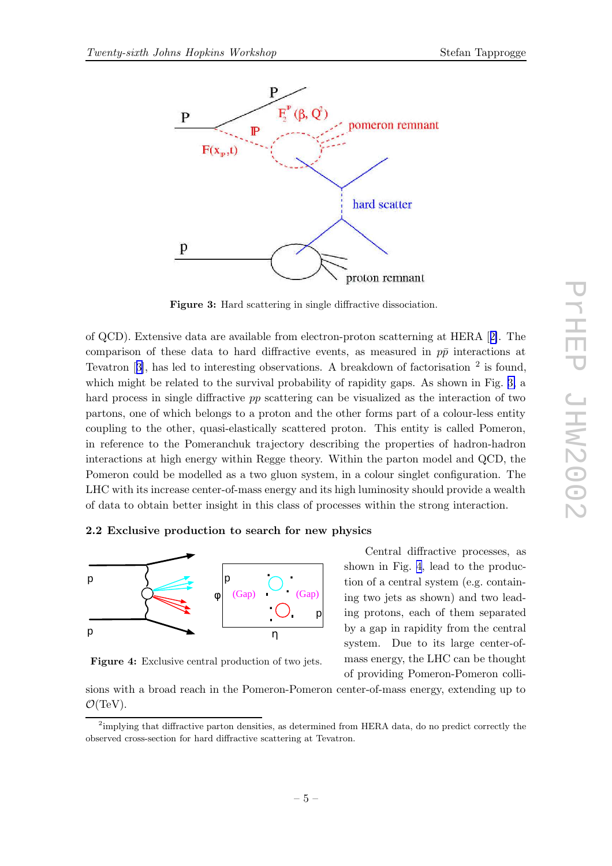

Figure 3: Hard scattering in single diffractive dissociation.

of QCD). Extensive data are available from electron-proton scatterning at HERA [[2\]](#page-19-0). The comparison of these data to hard diffractive events, as measured in  $p\bar{p}$  interactions at Tevatron  $[3]$  $[3]$ , has led to interesting observations. A breakdown of factorisation  $^2$  is found, which might be related to the survival probability of rapidity gaps. As shown in Fig. 3, a hard process in single diffractive pp scattering can be visualized as the interaction of two partons, one of which belongs to a proton and the other forms part of a colour-less entity coupling to the other, quasi-elastically scattered proton. This entity is called Pomeron, in reference to the Pomeranchuk trajectory describing the properties of hadron-hadron interactions at high energy within Regge theory. Within the parton model and QCD, the Pomeron could be modelled as a two gluon system, in a colour singlet configuration. The LHC with its increase center-of-mass energy and its high luminosity should provide a wealth of data to obtain better insight in this class of processes within the strong interaction.

#### 2.2 Exclusive production to search for new physics



Figure 4: Exclusive central production of two jets.

Central diffractive processes, as shown in Fig. 4, lead to the production of a central system (e.g. containing two jets as shown) and two leading protons, each of them separated by a gap in rapidity from the central system. Due to its large center-ofmass energy, the LHC can be thought of providing Pomeron-Pomeron colli-

sions with a broad reach in the Pomeron-Pomeron center-of-mass energy, extending up to  $\mathcal{O}(\text{TeV})$ .

<sup>&</sup>lt;sup>2</sup>implying that diffractive parton densities, as determined from HERA data, do no predict correctly the observed cross-section for hard diffractive scattering at Tevatron.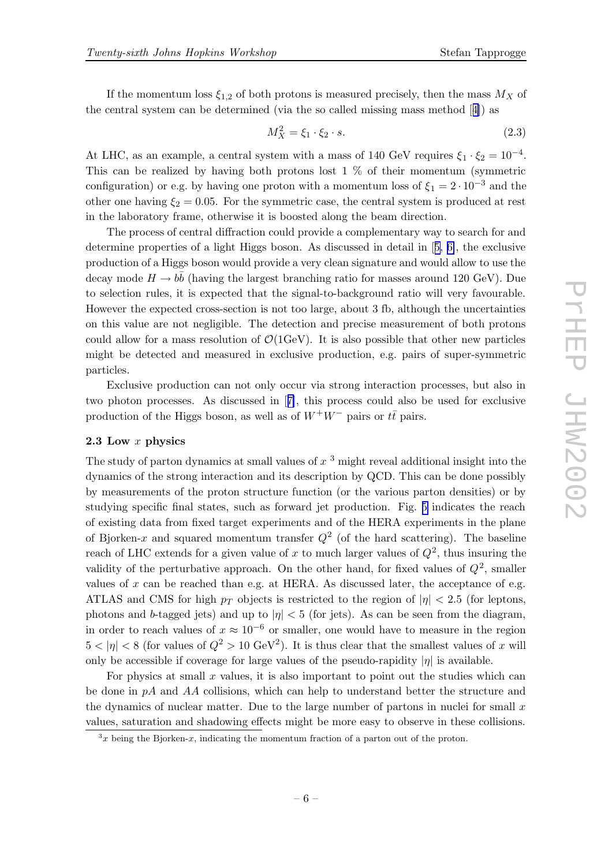If the momentum loss  $\xi_{1,2}$  of both protons is measured precisely, then the mass  $M_X$  of the central system can be determined (via the so called missing mass method [[4\]](#page-19-0)) as

$$
M_X^2 = \xi_1 \cdot \xi_2 \cdot s. \tag{2.3}
$$

At LHC, as an example, a central system with a mass of 140 GeV requires  $\xi_1 \cdot \xi_2 = 10^{-4}$ . This can be realized by having both protons lost  $1\%$  of their momentum (symmetric configuration) or e.g. by having one proton with a momentum loss of  $\xi_1 = 2 \cdot 10^{-3}$  and the other one having  $\xi_2 = 0.05$ . For the symmetric case, the central system is produced at rest in the laboratory frame, otherwise it is boosted along the beam direction.

The process of central diffraction could provide a complementary way to search for and determine properties of a light Higgs boson. As discussed in detail in [[5,](#page-19-0) [6\]](#page-19-0), the exclusive production of a Higgs boson would provide a very clean signature and would allow to use the decay mode  $H \to b\bar{b}$  (having the largest branching ratio for masses around 120 GeV). Due to selection rules, it is expected that the signal-to-background ratio will very favourable. However the expected cross-section is not too large, about 3 fb, although the uncertainties on this value are not negligible. The detection and precise measurement of both protons could allow for a mass resolution of  $\mathcal{O}(1 \text{GeV})$ . It is also possible that other new particles might be detected and measured in exclusive production, e.g. pairs of super-symmetric particles.

Exclusive production can not only occur via strong interaction processes, but also in two photon processes. As discussed in [[7\]](#page-19-0), this process could also be used for exclusive production of the Higgs boson, as well as of  $W^+W^-$  pairs or  $t\bar{t}$  pairs.

#### 2.3 Low x physics

The study of parton dynamics at small values of  $x<sup>3</sup>$  might reveal additional insight into the dynamics of the strong interaction and its description by QCD. This can be done possibly by measurements of the proton structure function (or the various parton densities) or by studying specific final states, such as forward jet production. Fig. [5](#page-6-0) indicates the reach of existing data from fixed target experiments and of the HERA experiments in the plane of Bjorken-x and squared momentum transfer  $Q^2$  (of the hard scattering). The baseline reach of LHC extends for a given value of x to much larger values of  $Q^2$ , thus insuring the validity of the perturbative approach. On the other hand, for fixed values of  $Q^2$ , smaller values of  $x$  can be reached than e.g. at HERA. As discussed later, the acceptance of e.g. ATLAS and CMS for high  $p_T$  objects is restricted to the region of  $|\eta| < 2.5$  (for leptons, photons and b-tagged jets) and up to  $|\eta| < 5$  (for jets). As can be seen from the diagram, in order to reach values of  $x \approx 10^{-6}$  or smaller, one would have to measure in the region  $5 < |\eta| < 8$  (for values of  $Q^2 > 10 \text{ GeV}^2$ ). It is thus clear that the smallest values of x will only be accessible if coverage for large values of the pseudo-rapidity  $|\eta|$  is available.

For physics at small  $x$  values, it is also important to point out the studies which can be done in  $pA$  and  $AA$  collisions, which can help to understand better the structure and the dynamics of nuclear matter. Due to the large number of partons in nuclei for small  $x$ values, saturation and shadowing effects might be more easy to observe in these collisions.

 $x^3$  being the Bjorken-x, indicating the momentum fraction of a parton out of the proton.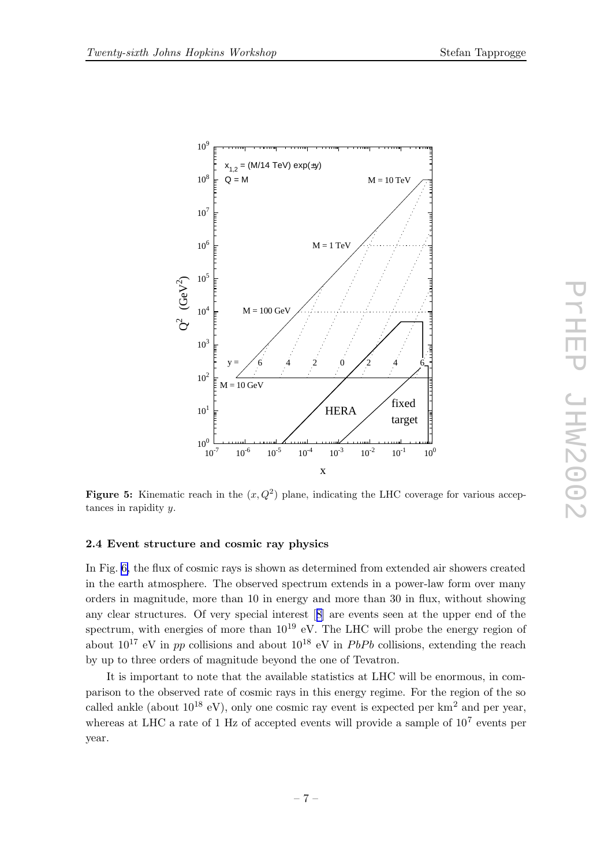

<span id="page-6-0"></span>

Figure 5: Kinematic reach in the  $(x, Q^2)$  plane, indicating the LHC coverage for various acceptances in rapidity y.

#### 2.4 Event structure and cosmic ray physics

In Fig. [6,](#page-7-0) the flux of cosmic rays is shown as determined from extended air showers created in the earth atmosphere. The observed spectrum extends in a power-law form over many orders in magnitude, more than 10 in energy and more than 30 in flux, without showing any clear structures. Of very special interest [[8\]](#page-19-0) are events seen at the upper end of the spectrum, with energies of more than  $10^{19}$  eV. The LHC will probe the energy region of about  $10^{17}$  eV in pp collisions and about  $10^{18}$  eV in PbPb collisions, extending the reach by up to three orders of magnitude beyond the one of Tevatron.

It is important to note that the available statistics at LHC will be enormous, in comparison to the observed rate of cosmic rays in this energy regime. For the region of the so called ankle (about  $10^{18}$  eV), only one cosmic ray event is expected per km<sup>2</sup> and per year, whereas at LHC a rate of 1 Hz of accepted events will provide a sample of  $10^7$  events per year.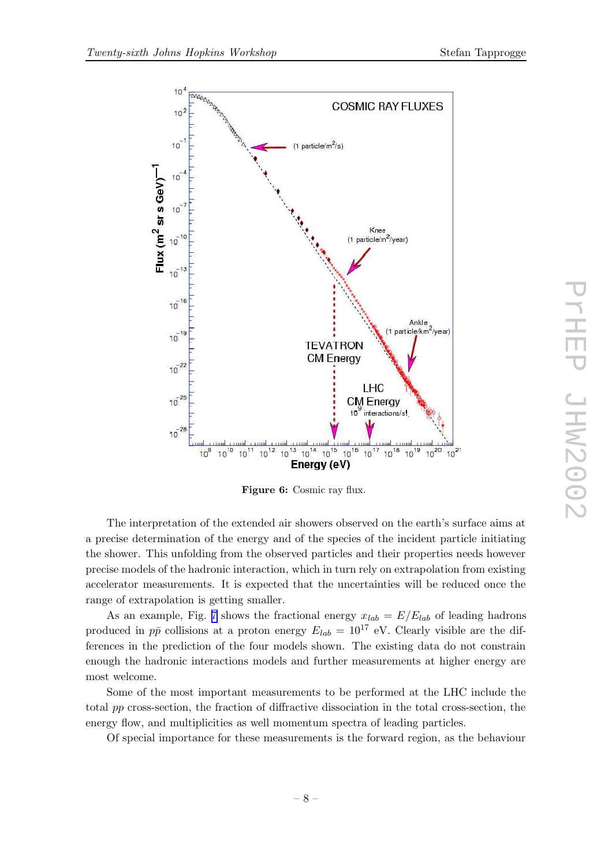<span id="page-7-0"></span>

Figure 6: Cosmic ray flux.

The interpretation of the extended air showers observed on the earth's surface aims at a precise determination of the energy and of the species of the incident particle initiating the shower. This unfolding from the observed particles and their properties needs however precise models of the hadronic interaction, which in turn rely on extrapolation from existing accelerator measurements. It is expected that the uncertainties will be reduced once the range of extrapolation is getting smaller.

As an example, Fig. [7](#page-8-0) shows the fractional energy  $x_{lab} = E/E_{lab}$  of leading hadrons produced in  $p\bar{p}$  collisions at a proton energy  $E_{lab} = 10^{17}$  eV. Clearly visible are the differences in the prediction of the four models shown. The existing data do not constrain enough the hadronic interactions models and further measurements at higher energy are most welcome.

Some of the most important measurements to be performed at the LHC include the total pp cross-section, the fraction of diffractive dissociation in the total cross-section, the energy flow, and multiplicities as well momentum spectra of leading particles.

Of special importance for these measurements is the forward region, as the behaviour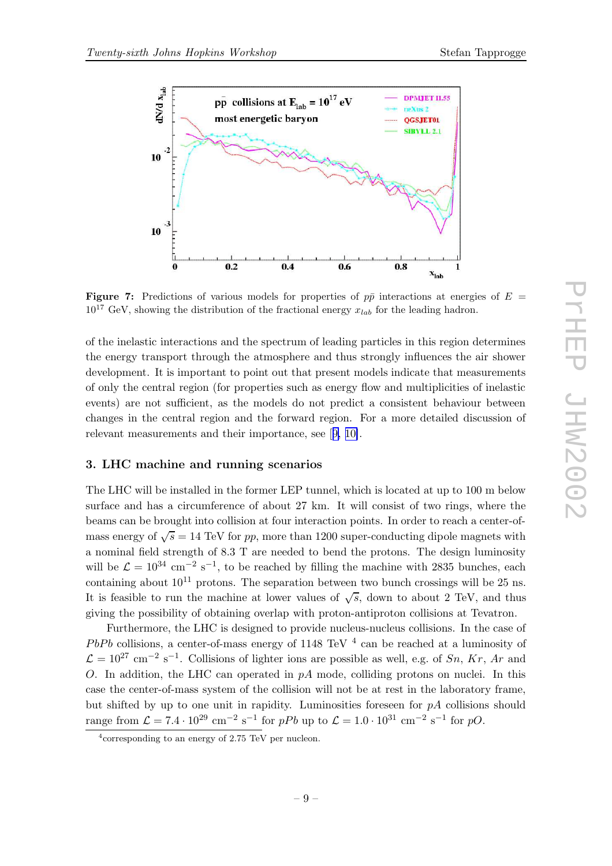<span id="page-8-0"></span>

**Figure 7:** Predictions of various models for properties of  $p\bar{p}$  interactions at energies of  $E =$  $10^{17}$  GeV, showing the distribution of the fractional energy  $x_{lab}$  for the leading hadron.

of the inelastic interactions and the spectrum of leading particles in this region determines the energy transport through the atmosphere and thus strongly influences the air shower development. It is important to point out that present models indicate that measurements of only the central region (for properties such as energy flow and multiplicities of inelastic events) are not sufficient, as the models do not predict a consistent behaviour between changes in the central region and the forward region. For a more detailed discussion of relevant measurements and their importance, see [[9,](#page-19-0) [10\]](#page-19-0).

#### 3. LHC machine and running scenarios

The LHC will be installed in the former LEP tunnel, which is located at up to 100 m below surface and has a circumference of about 27 km. It will consist of two rings, where the beams can be brought into collision at four interaction points. In order to reach a center-ofmass energy of  $\sqrt{s} = 14$  TeV for pp, more than 1200 super-conducting dipole magnets with a nominal field strength of 8.3 T are needed to bend the protons. The design luminosity will be  $\mathcal{L} = 10^{34}$  cm<sup>-2</sup> s<sup>-1</sup>, to be reached by filling the machine with 2835 bunches, each containing about  $10^{11}$  protons. The separation between two bunch crossings will be 25 ns. It is feasible to run the machine at lower values of  $\sqrt{s}$ , down to about 2 TeV, and thus giving the possibility of obtaining overlap with proton-antiproton collisions at Tevatron.

Furthermore, the LHC is designed to provide nucleus-nucleus collisions. In the case of  $PbPb$  collisions, a center-of-mass energy of 1148 TeV  $^4$  can be reached at a luminosity of  $\mathcal{L} = 10^{27}$  cm<sup>-2</sup> s<sup>-1</sup>. Collisions of lighter ions are possible as well, e.g. of Sn, Kr, Ar and O. In addition, the LHC can operated in  $pA$  mode, colliding protons on nuclei. In this case the center-of-mass system of the collision will not be at rest in the laboratory frame, but shifted by up to one unit in rapidity. Luminosities foreseen for  $pA$  collisions should range from  $\mathcal{L} = 7.4 \cdot 10^{29} \text{ cm}^{-2} \text{ s}^{-1}$  for  $pPb$  up to  $\mathcal{L} = 1.0 \cdot 10^{31} \text{ cm}^{-2} \text{ s}^{-1}$  for  $pO$ .

<sup>4</sup> corresponding to an energy of 2.75 TeV per nucleon.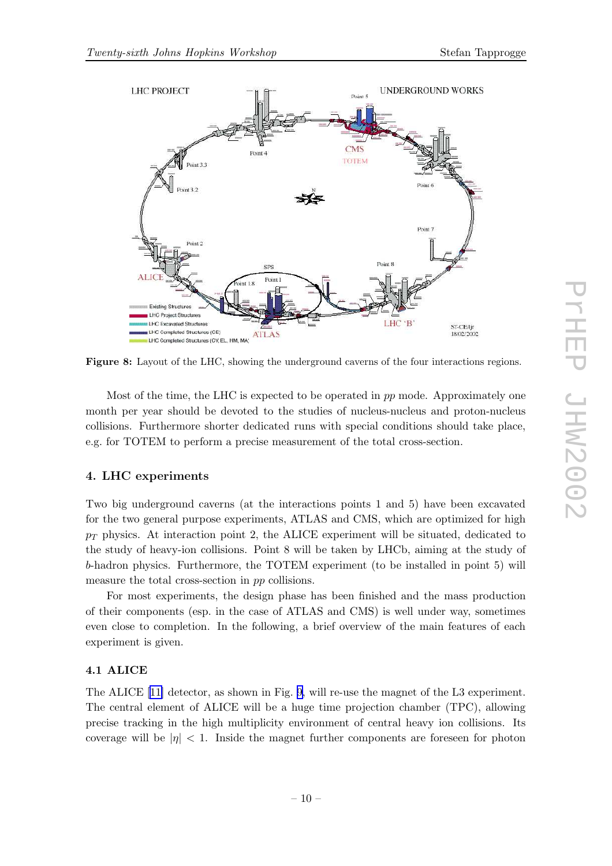

Figure 8: Layout of the LHC, showing the underground caverns of the four interactions regions.

Most of the time, the LHC is expected to be operated in pp mode. Approximately one month per year should be devoted to the studies of nucleus-nucleus and proton-nucleus collisions. Furthermore shorter dedicated runs with special conditions should take place, e.g. for TOTEM to perform a precise measurement of the total cross-section.

# 4. LHC experiments

Two big underground caverns (at the interactions points 1 and 5) have been excavated for the two general purpose experiments, ATLAS and CMS, which are optimized for high  $p_T$  physics. At interaction point 2, the ALICE experiment will be situated, dedicated to the study of heavy-ion collisions. Point 8 will be taken by LHCb, aiming at the study of b-hadron physics. Furthermore, the TOTEM experiment (to be installed in point 5) will measure the total cross-section in pp collisions.

For most experiments, the design phase has been finished and the mass production of their components (esp. in the case of ATLAS and CMS) is well under way, sometimes even close to completion. In the following, a brief overview of the main features of each experiment is given.

# 4.1 ALICE

The ALICE [[11\]](#page-19-0) detector, as shown in Fig. [9,](#page-10-0) will re-use the magnet of the L3 experiment. The central element of ALICE will be a huge time projection chamber (TPC), allowing precise tracking in the high multiplicity environment of central heavy ion collisions. Its coverage will be  $|\eta| < 1$ . Inside the magnet further components are foreseen for photon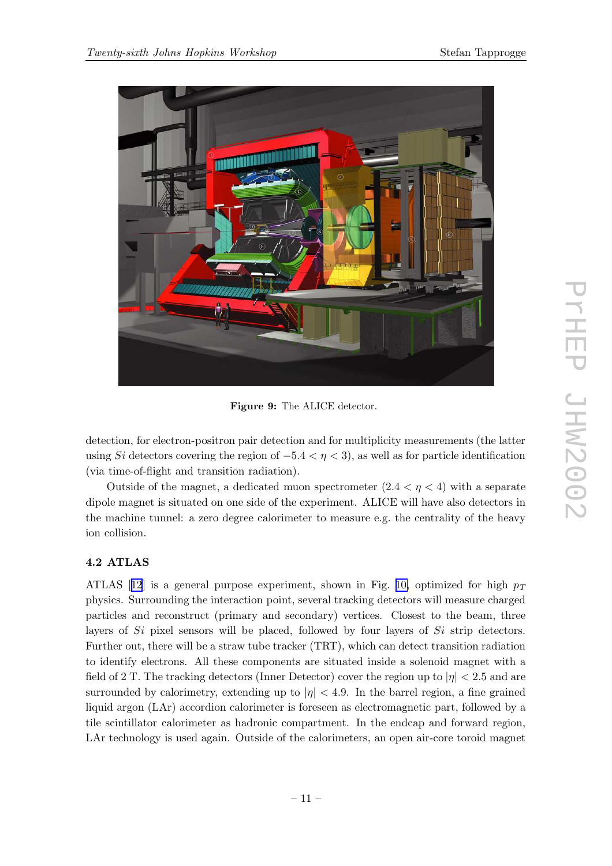<span id="page-10-0"></span>

Figure 9: The ALICE detector.

detection, for electron-positron pair detection and for multiplicity measurements (the latter using Si detectors covering the region of  $-5.4 < \eta < 3$ ), as well as for particle identification (via time-of-flight and transition radiation).

Outside of the magnet, a dedicated muon spectrometer  $(2.4 < \eta < 4)$  with a separate dipole magnet is situated on one side of the experiment. ALICE will have also detectors in the machine tunnel: a zero degree calorimeter to measure e.g. the centrality of the heavy ion collision.

# 4.2 ATLAS

ATLAS [[12](#page-19-0)] is a general purpose experiment, shown in Fig. [10,](#page-11-0) optimized for high  $p_T$ physics. Surrounding the interaction point, several tracking detectors will measure charged particles and reconstruct (primary and secondary) vertices. Closest to the beam, three layers of  $Si$  pixel sensors will be placed, followed by four layers of  $Si$  strip detectors. Further out, there will be a straw tube tracker (TRT), which can detect transition radiation to identify electrons. All these components are situated inside a solenoid magnet with a field of 2 T. The tracking detectors (Inner Detector) cover the region up to  $|\eta| < 2.5$  and are surrounded by calorimetry, extending up to  $|\eta| < 4.9$ . In the barrel region, a fine grained liquid argon (LAr) accordion calorimeter is foreseen as electromagnetic part, followed by a tile scintillator calorimeter as hadronic compartment. In the endcap and forward region, LAr technology is used again. Outside of the calorimeters, an open air-core toroid magnet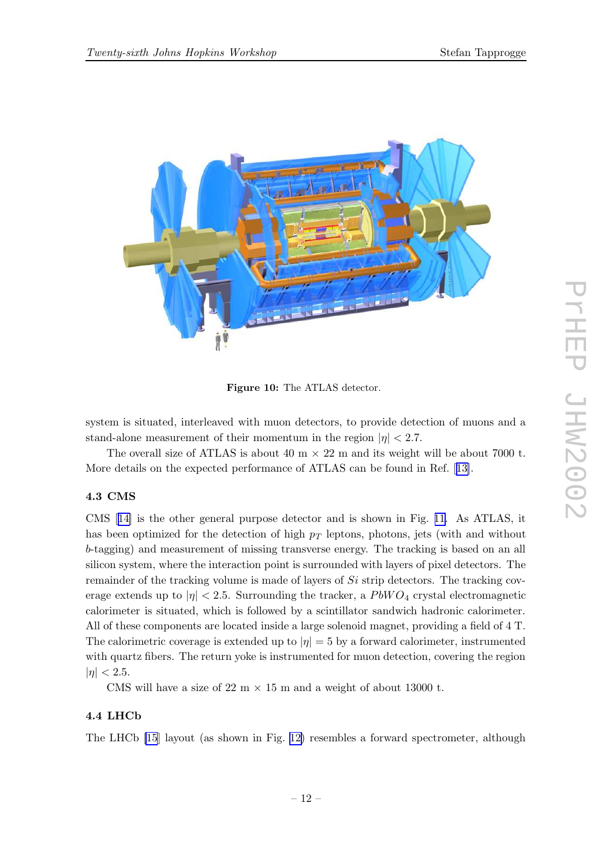<span id="page-11-0"></span>

Figure 10: The ATLAS detector.

system is situated, interleaved with muon detectors, to provide detection of muons and a stand-alone measurement of their momentum in the region  $|\eta| < 2.7$ .

The overall size of ATLAS is about 40 m  $\times$  22 m and its weight will be about 7000 t. More details on the expected performance of ATLAS can be found in Ref. [[13\]](#page-19-0).

# 4.3 CMS

CMS [[14\]](#page-19-0) is the other general purpose detector and is shown in Fig. [11.](#page-12-0) As ATLAS, it has been optimized for the detection of high  $p_T$  leptons, photons, jets (with and without b-tagging) and measurement of missing transverse energy. The tracking is based on an all silicon system, where the interaction point is surrounded with layers of pixel detectors. The remainder of the tracking volume is made of layers of Si strip detectors. The tracking coverage extends up to  $|\eta|$  < 2.5. Surrounding the tracker, a PbWO<sub>4</sub> crystal electromagnetic calorimeter is situated, which is followed by a scintillator sandwich hadronic calorimeter. All of these components are located inside a large solenoid magnet, providing a field of 4 T. The calorimetric coverage is extended up to  $|\eta| = 5$  by a forward calorimeter, instrumented with quartz fibers. The return yoke is instrumented for muon detection, covering the region  $|\eta| < 2.5$ .

CMS will have a size of 22 m  $\times$  15 m and a weight of about 13000 t.

# 4.4 LHCb

The LHCb [\[15](#page-20-0)] layout (as shown in Fig. [12\)](#page-13-0) resembles a forward spectrometer, although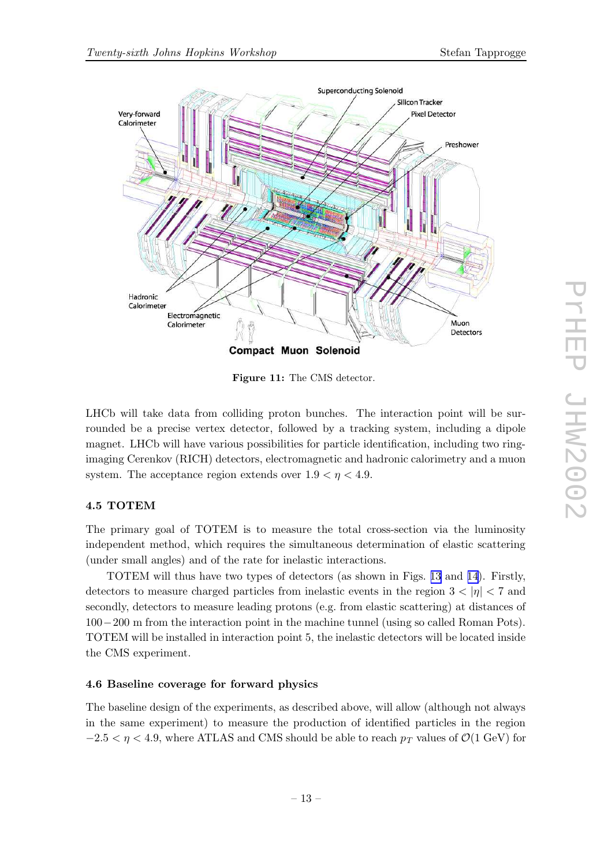<span id="page-12-0"></span>

Figure 11: The CMS detector.

LHCb will take data from colliding proton bunches. The interaction point will be surrounded be a precise vertex detector, followed by a tracking system, including a dipole magnet. LHCb will have various possibilities for particle identification, including two ringimaging Cerenkov (RICH) detectors, electromagnetic and hadronic calorimetry and a muon system. The acceptance region extends over  $1.9 < \eta < 4.9$ .

# 4.5 TOTEM

The primary goal of TOTEM is to measure the total cross-section via the luminosity independent method, which requires the simultaneous determination of elastic scattering (under small angles) and of the rate for inelastic interactions.

TOTEM will thus have two types of detectors (as shown in Figs. [13](#page-13-0) and [14\)](#page-14-0). Firstly, detectors to measure charged particles from inelastic events in the region  $3 < |\eta| < 7$  and secondly, detectors to measure leading protons (e.g. from elastic scattering) at distances of 100−200 m from the interaction point in the machine tunnel (using so called Roman Pots). TOTEM will be installed in interaction point 5, the inelastic detectors will be located inside the CMS experiment.

## 4.6 Baseline coverage for forward physics

The baseline design of the experiments, as described above, will allow (although not always in the same experiment) to measure the production of identified particles in the region  $-2.5 < \eta < 4.9$ , where ATLAS and CMS should be able to reach  $p_T$  values of  $\mathcal{O}(1 \text{ GeV})$  for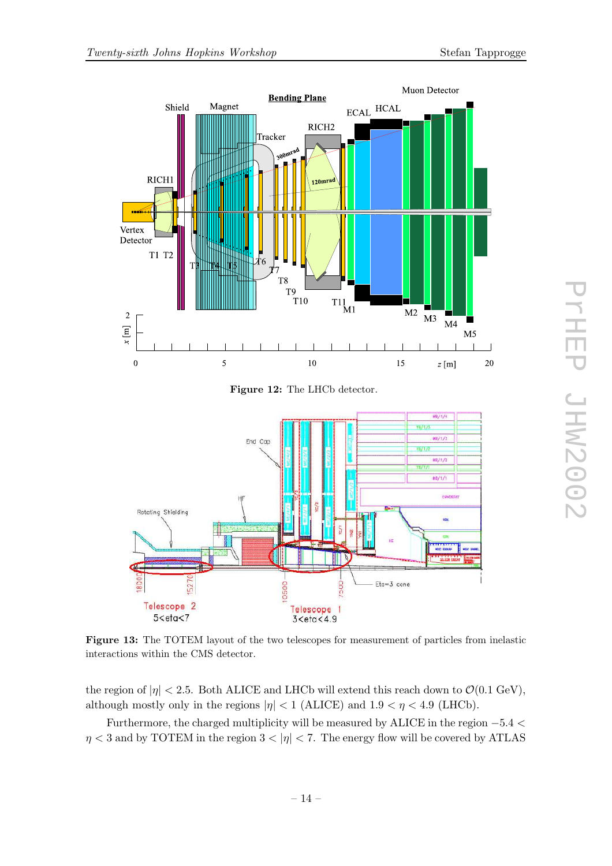<span id="page-13-0"></span>

Figure 12: The LHCb detector.



Figure 13: The TOTEM layout of the two telescopes for measurement of particles from inelastic interactions within the CMS detector.

the region of  $|\eta| < 2.5$ . Both ALICE and LHCb will extend this reach down to  $\mathcal{O}(0.1 \text{ GeV})$ , although mostly only in the regions  $|\eta| < 1$  (ALICE) and  $1.9 < \eta < 4.9$  (LHCb).

Furthermore, the charged multiplicity will be measured by ALICE in the region −5.4 <  $\eta$  < 3 and by TOTEM in the region  $3 < |\eta|$  < 7. The energy flow will be covered by ATLAS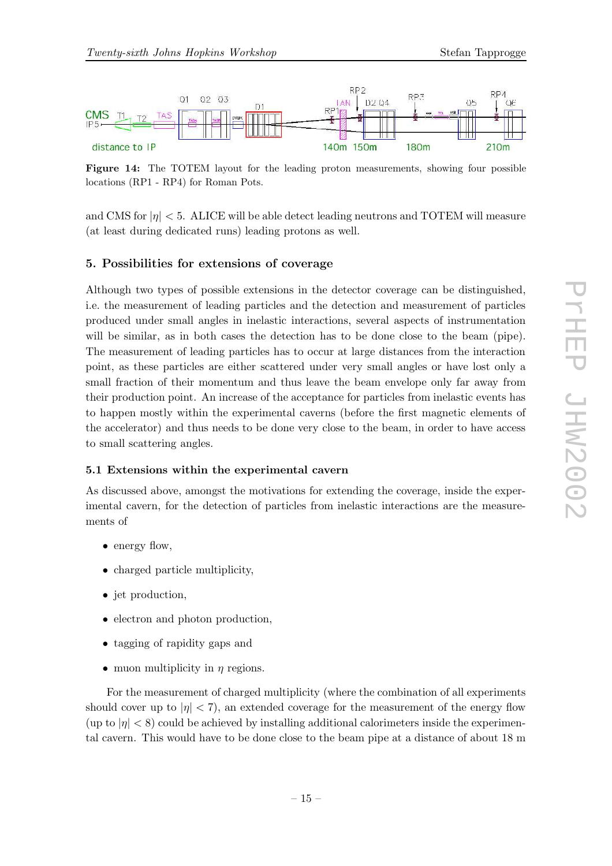<span id="page-14-0"></span>

Figure 14: The TOTEM layout for the leading proton measurements, showing four possible locations (RP1 - RP4) for Roman Pots.

and CMS for  $|\eta| < 5$ . ALICE will be able detect leading neutrons and TOTEM will measure (at least during dedicated runs) leading protons as well.

## 5. Possibilities for extensions of coverage

Although two types of possible extensions in the detector coverage can be distinguished, i.e. the measurement of leading particles and the detection and measurement of particles produced under small angles in inelastic interactions, several aspects of instrumentation will be similar, as in both cases the detection has to be done close to the beam (pipe). The measurement of leading particles has to occur at large distances from the interaction point, as these particles are either scattered under very small angles or have lost only a small fraction of their momentum and thus leave the beam envelope only far away from their production point. An increase of the acceptance for particles from inelastic events has to happen mostly within the experimental caverns (before the first magnetic elements of the accelerator) and thus needs to be done very close to the beam, in order to have access to small scattering angles.

#### 5.1 Extensions within the experimental cavern

As discussed above, amongst the motivations for extending the coverage, inside the experimental cavern, for the detection of particles from inelastic interactions are the measurements of

- energy flow,
- charged particle multiplicity,
- jet production,
- electron and photon production,
- tagging of rapidity gaps and
- muon multiplicity in  $\eta$  regions.

For the measurement of charged multiplicity (where the combination of all experiments should cover up to  $|\eta| < 7$ , an extended coverage for the measurement of the energy flow  $(\text{up to } |\eta| < 8)$  could be achieved by installing additional calorimeters inside the experimental cavern. This would have to be done close to the beam pipe at a distance of about 18 m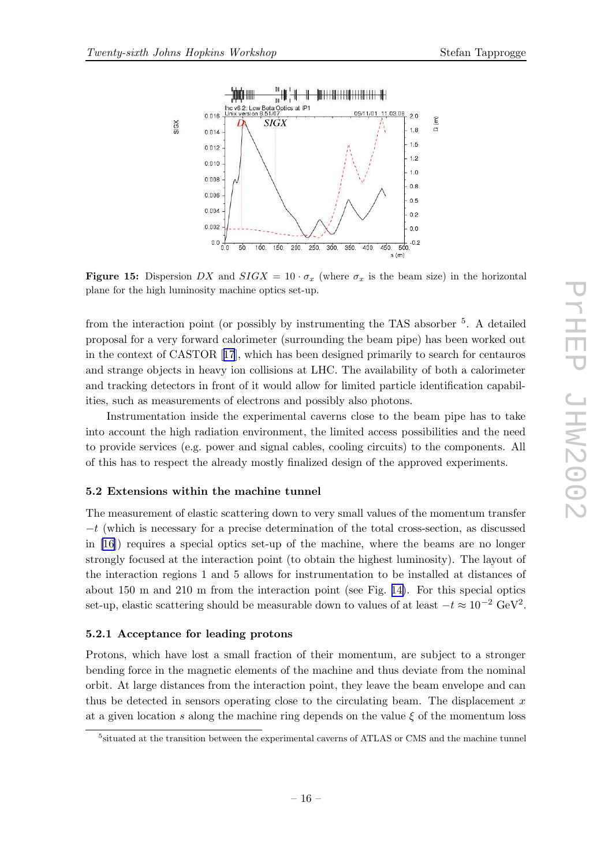<span id="page-15-0"></span>

**Figure 15:** Dispersion DX and  $SIGX = 10 \cdot \sigma_x$  (where  $\sigma_x$  is the beam size) in the horizontal plane for the high luminosity machine optics set-up.

from the interaction point (or possibly by instrumenting the TAS absorber <sup>5</sup>. A detailed proposal for a very forward calorimeter (surrounding the beam pipe) has been worked out in the context of CASTOR [[17](#page-20-0)], which has been designed primarily to search for centauros and strange objects in heavy ion collisions at LHC. The availability of both a calorimeter and tracking detectors in front of it would allow for limited particle identification capabilities, such as measurements of electrons and possibly also photons.

Instrumentation inside the experimental caverns close to the beam pipe has to take into account the high radiation environment, the limited access possibilities and the need to provide services (e.g. power and signal cables, cooling circuits) to the components. All of this has to respect the already mostly finalized design of the approved experiments.

#### 5.2 Extensions within the machine tunnel

The measurement of elastic scattering down to very small values of the momentum transfer  $-t$  (which is necessary for a precise determination of the total cross-section, as discussed in [\[16](#page-20-0)]) requires a special optics set-up of the machine, where the beams are no longer strongly focused at the interaction point (to obtain the highest luminosity). The layout of the interaction regions 1 and 5 allows for instrumentation to be installed at distances of about 150 m and 210 m from the interaction point (see Fig. [14\)](#page-14-0). For this special optics set-up, elastic scattering should be measurable down to values of at least  $-t \approx 10^{-2} \text{ GeV}^2$ .

#### 5.2.1 Acceptance for leading protons

Protons, which have lost a small fraction of their momentum, are subject to a stronger bending force in the magnetic elements of the machine and thus deviate from the nominal orbit. At large distances from the interaction point, they leave the beam envelope and can thus be detected in sensors operating close to the circulating beam. The displacement  $x$ at a given location s along the machine ring depends on the value  $\xi$  of the momentum loss

<sup>&</sup>lt;sup>5</sup>situated at the transition between the experimental caverns of ATLAS or CMS and the machine tunnel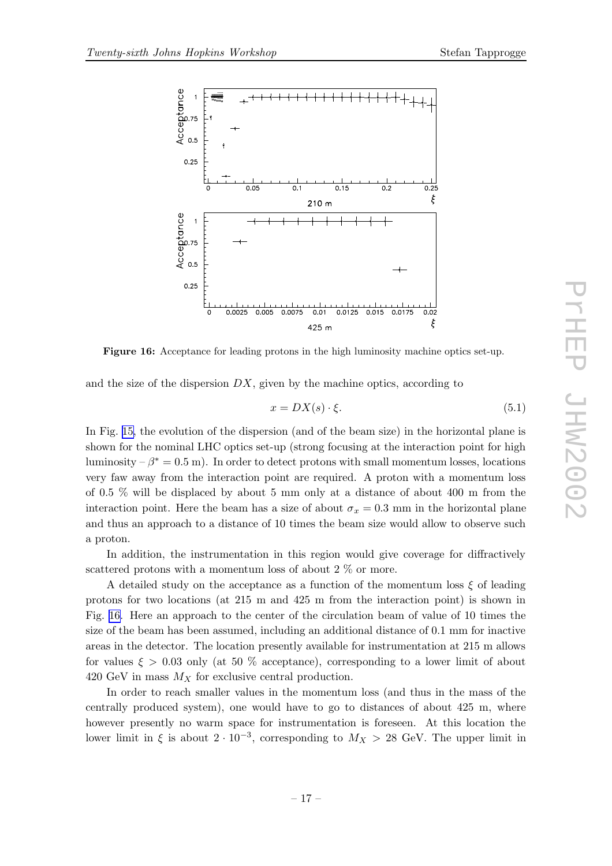



Figure 16: Acceptance for leading protons in the high luminosity machine optics set-up.

and the size of the dispersion  $DX$ , given by the machine optics, according to

$$
x = DX(s) \cdot \xi. \tag{5.1}
$$

In Fig. [15,](#page-15-0) the evolution of the dispersion (and of the beam size) in the horizontal plane is shown for the nominal LHC optics set-up (strong focusing at the interaction point for high luminosity  $-\beta^* = 0.5$  m). In order to detect protons with small momentum losses, locations very faw away from the interaction point are required. A proton with a momentum loss of 0.5 % will be displaced by about 5 mm only at a distance of about 400 m from the interaction point. Here the beam has a size of about  $\sigma_x = 0.3$  mm in the horizontal plane and thus an approach to a distance of 10 times the beam size would allow to observe such a proton.

In addition, the instrumentation in this region would give coverage for diffractively scattered protons with a momentum loss of about 2  $\%$  or more.

A detailed study on the acceptance as a function of the momentum loss  $\xi$  of leading protons for two locations (at 215 m and 425 m from the interaction point) is shown in Fig. 16. Here an approach to the center of the circulation beam of value of 10 times the size of the beam has been assumed, including an additional distance of 0.1 mm for inactive areas in the detector. The location presently available for instrumentation at 215 m allows for values  $\xi > 0.03$  only (at 50 % acceptance), corresponding to a lower limit of about 420 GeV in mass  $M_X$  for exclusive central production.

In order to reach smaller values in the momentum loss (and thus in the mass of the centrally produced system), one would have to go to distances of about 425 m, where however presently no warm space for instrumentation is foreseen. At this location the lower limit in  $\xi$  is about  $2 \cdot 10^{-3}$ , corresponding to  $M_X > 28$  GeV. The upper limit in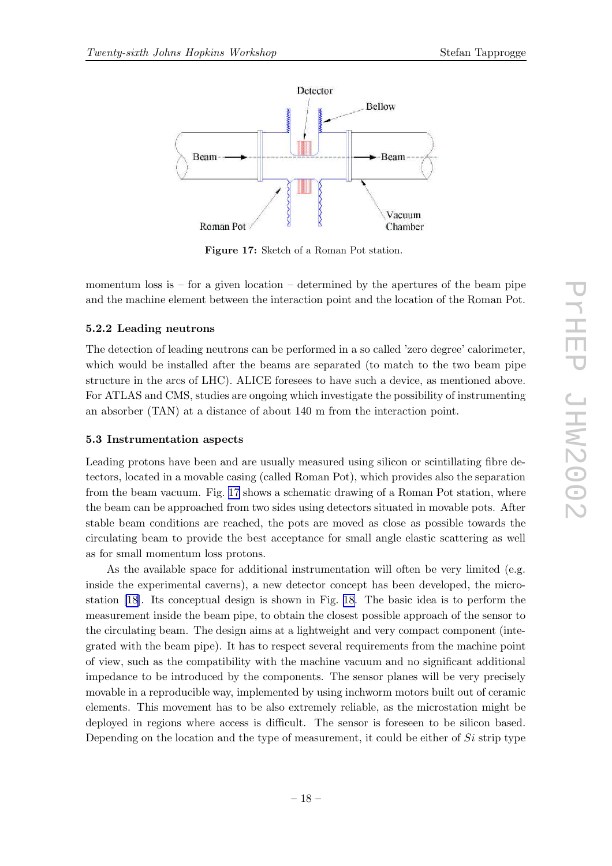

Figure 17: Sketch of a Roman Pot station.

momentum loss is  $-$  for a given location  $-$  determined by the apertures of the beam pipe and the machine element between the interaction point and the location of the Roman Pot.

# 5.2.2 Leading neutrons

The detection of leading neutrons can be performed in a so called 'zero degree' calorimeter, which would be installed after the beams are separated (to match to the two beam pipe structure in the arcs of LHC). ALICE foresees to have such a device, as mentioned above. For ATLAS and CMS, studies are ongoing which investigate the possibility of instrumenting an absorber (TAN) at a distance of about 140 m from the interaction point.

#### 5.3 Instrumentation aspects

Leading protons have been and are usually measured using silicon or scintillating fibre detectors, located in a movable casing (called Roman Pot), which provides also the separation from the beam vacuum. Fig. 17 shows a schematic drawing of a Roman Pot station, where the beam can be approached from two sides using detectors situated in movable pots. After stable beam conditions are reached, the pots are moved as close as possible towards the circulating beam to provide the best acceptance for small angle elastic scattering as well as for small momentum loss protons.

As the available space for additional instrumentation will often be very limited (e.g. inside the experimental caverns), a new detector concept has been developed, the microstation [\[18](#page-20-0)]. Its conceptual design is shown in Fig. [18.](#page-18-0) The basic idea is to perform the measurement inside the beam pipe, to obtain the closest possible approach of the sensor to the circulating beam. The design aims at a lightweight and very compact component (integrated with the beam pipe). It has to respect several requirements from the machine point of view, such as the compatibility with the machine vacuum and no significant additional impedance to be introduced by the components. The sensor planes will be very precisely movable in a reproducible way, implemented by using inchworm motors built out of ceramic elements. This movement has to be also extremely reliable, as the microstation might be deployed in regions where access is difficult. The sensor is foreseen to be silicon based. Depending on the location and the type of measurement, it could be either of  $Si$  strip type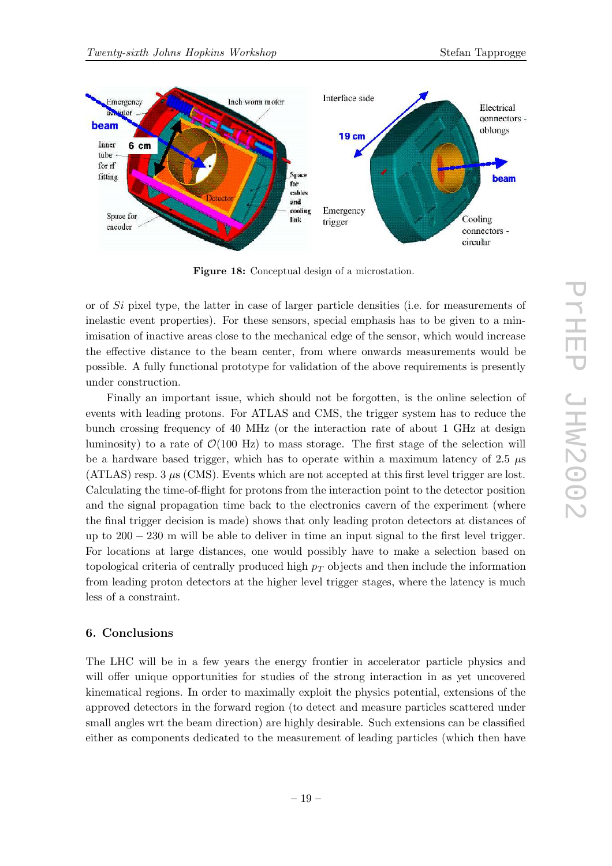<span id="page-18-0"></span>

Figure 18: Conceptual design of a microstation.

or of Si pixel type, the latter in case of larger particle densities (i.e. for measurements of inelastic event properties). For these sensors, special emphasis has to be given to a minimisation of inactive areas close to the mechanical edge of the sensor, which would increase the effective distance to the beam center, from where onwards measurements would be possible. A fully functional prototype for validation of the above requirements is presently under construction.

Finally an important issue, which should not be forgotten, is the online selection of events with leading protons. For ATLAS and CMS, the trigger system has to reduce the bunch crossing frequency of 40 MHz (or the interaction rate of about 1 GHz at design luminosity) to a rate of  $\mathcal{O}(100 \text{ Hz})$  to mass storage. The first stage of the selection will be a hardware based trigger, which has to operate within a maximum latency of 2.5  $\mu$ s  $(ATLAS)$  resp. 3  $\mu$ s (CMS). Events which are not accepted at this first level trigger are lost. Calculating the time-of-flight for protons from the interaction point to the detector position and the signal propagation time back to the electronics cavern of the experiment (where the final trigger decision is made) shows that only leading proton detectors at distances of up to  $200 - 230$  m will be able to deliver in time an input signal to the first level trigger. For locations at large distances, one would possibly have to make a selection based on topological criteria of centrally produced high  $p_T$  objects and then include the information from leading proton detectors at the higher level trigger stages, where the latency is much less of a constraint.

# 6. Conclusions

The LHC will be in a few years the energy frontier in accelerator particle physics and will offer unique opportunities for studies of the strong interaction in as yet uncovered kinematical regions. In order to maximally exploit the physics potential, extensions of the approved detectors in the forward region (to detect and measure particles scattered under small angles wrt the beam direction) are highly desirable. Such extensions can be classified either as components dedicated to the measurement of leading particles (which then have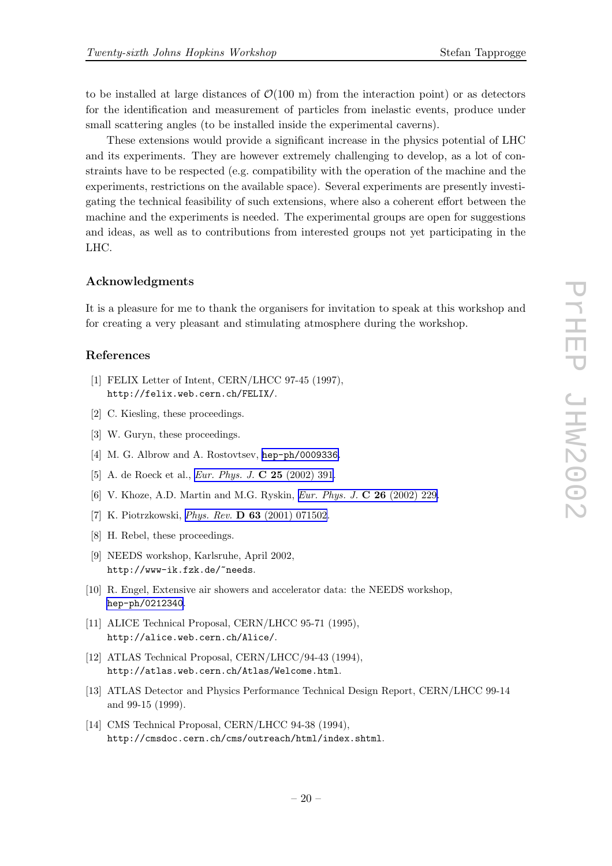<span id="page-19-0"></span>to be installed at large distances of  $\mathcal{O}(100 \text{ m})$  from the interaction point) or as detectors for the identification and measurement of particles from inelastic events, produce under small scattering angles (to be installed inside the experimental caverns).

These extensions would provide a significant increase in the physics potential of LHC and its experiments. They are however extremely challenging to develop, as a lot of constraints have to be respected (e.g. compatibility with the operation of the machine and the experiments, restrictions on the available space). Several experiments are presently investigating the technical feasibility of such extensions, where also a coherent effort between the machine and the experiments is needed. The experimental groups are open for suggestions and ideas, as well as to contributions from interested groups not yet participating in the LHC.

#### Acknowledgments

It is a pleasure for me to thank the organisers for invitation to speak at this workshop and for creating a very pleasant and stimulating atmosphere during the workshop.

# References

- [1] FELIX Letter of Intent, CERN/LHCC 97-45 (1997), http://felix.web.cern.ch/FELIX/.
- [2] C. Kiesling, these proceedings.
- [3] W. Guryn, these proceedings.
- [4] M. G. Albrow and A. Rostovtsev, [hep-ph/0009336](http://xxx.lanl.gov/abs/hep-ph/0009336).
- [5] A. de Roeck et al., Eur. Phys. J. C 25 [\(2002\)](http://www-spires.slac.stanford.edu/spires/find/hep/www?j=EPHJA%2CC25%2C391) 391.
- [6] V. Khoze, A.D. Martin and M.G. Ryskin, Eur. Phys. J. C 26 [\(2002\)](http://www-spires.slac.stanford.edu/spires/find/hep/www?j=EPHJA%2CC26%2C229) 229.
- [7] K. Piotrzkowski, Phys. Rev. D 63 (2001) [071502](http://www-spires.slac.stanford.edu/spires/find/hep/www?j=PHRVA%2CD63%2C071502).
- [8] H. Rebel, these proceedings.
- [9] NEEDS workshop, Karlsruhe, April 2002, http://www-ik.fzk.de/~needs.
- [10] R. Engel, Extensive air showers and accelerator data: the NEEDS workshop, [hep-ph/0212340](http://xxx.lanl.gov/abs/hep-ph/0212340).
- [11] ALICE Technical Proposal, CERN/LHCC 95-71 (1995), http://alice.web.cern.ch/Alice/.
- [12] ATLAS Technical Proposal, CERN/LHCC/94-43 (1994), http://atlas.web.cern.ch/Atlas/Welcome.html.
- [13] ATLAS Detector and Physics Performance Technical Design Report, CERN/LHCC 99-14 and 99-15 (1999).
- [14] CMS Technical Proposal, CERN/LHCC 94-38 (1994), http://cmsdoc.cern.ch/cms/outreach/html/index.shtml.